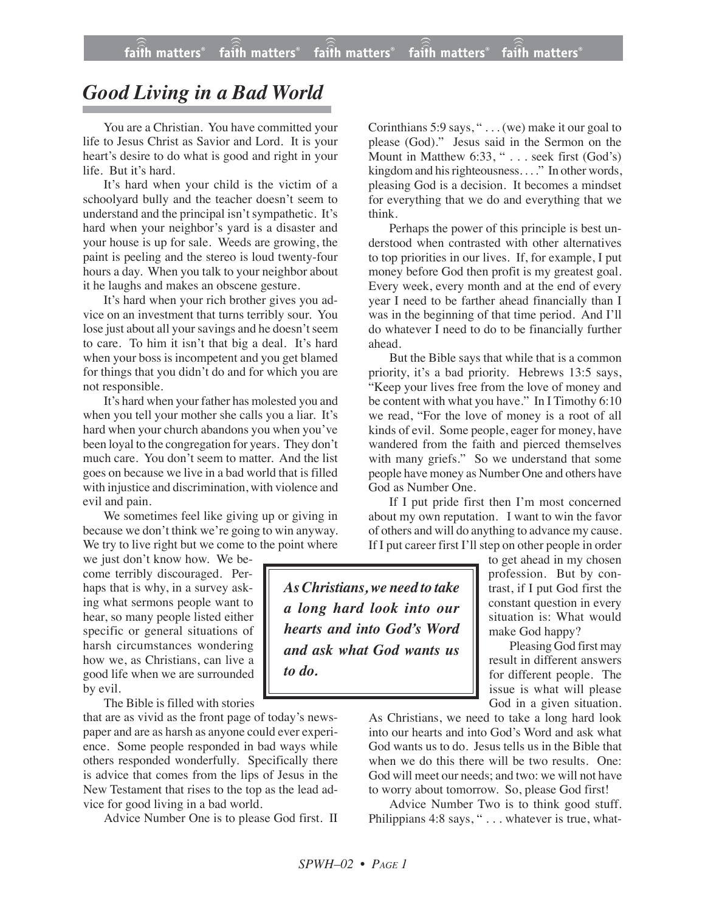## *Good Living in a Bad World*

You are a Christian. You have committed your life to Jesus Christ as Savior and Lord. It is your heart's desire to do what is good and right in your life. But it's hard.

It's hard when your child is the victim of a schoolyard bully and the teacher doesn't seem to understand and the principal isn't sympathetic. It's hard when your neighbor's yard is a disaster and your house is up for sale. Weeds are growing, the paint is peeling and the stereo is loud twenty-four hours a day. When you talk to your neighbor about it he laughs and makes an obscene gesture.

It's hard when your rich brother gives you advice on an investment that turns terribly sour. You lose just about all your savings and he doesn't seem to care. To him it isn't that big a deal. It's hard when your boss is incompetent and you get blamed for things that you didn't do and for which you are not responsible.

It's hard when your father has molested you and when you tell your mother she calls you a liar. It's hard when your church abandons you when you've been loyal to the congregation for years. They don't much care. You don't seem to matter. And the list goes on because we live in a bad world that is filled with injustice and discrimination, with violence and evil and pain.

We sometimes feel like giving up or giving in because we don't think we're going to win anyway. We try to live right but we come to the point where

we just don't know how. We become terribly discouraged. Perhaps that is why, in a survey asking what sermons people want to hear, so many people listed either specific or general situations of harsh circumstances wondering how we, as Christians, can live a good life when we are surrounded by evil.

The Bible is filled with stories

that are as vivid as the front page of today's newspaper and are as harsh as anyone could ever experience. Some people responded in bad ways while others responded wonderfully. Specifically there is advice that comes from the lips of Jesus in the New Testament that rises to the top as the lead advice for good living in a bad world.

Advice Number One is to please God first. II

Corinthians 5:9 says, " . . . (we) make it our goal to please (God)." Jesus said in the Sermon on the Mount in Matthew 6:33, " . . . seek first (God's) kingdom and his righteousness. . . ." In other words, pleasing God is a decision. It becomes a mindset for everything that we do and everything that we think.

Perhaps the power of this principle is best understood when contrasted with other alternatives to top priorities in our lives. If, for example, I put money before God then profit is my greatest goal. Every week, every month and at the end of every year I need to be farther ahead financially than I was in the beginning of that time period. And I'll do whatever I need to do to be financially further ahead.

But the Bible says that while that is a common priority, it's a bad priority. Hebrews 13:5 says, "Keep your lives free from the love of money and be content with what you have." In I Timothy 6:10 we read, "For the love of money is a root of all kinds of evil. Some people, eager for money, have wandered from the faith and pierced themselves with many griefs." So we understand that some people have money as Number One and others have God as Number One.

If I put pride first then I'm most concerned about my own reputation. I want to win the favor of others and will do anything to advance my cause. If I put career first I'll step on other people in order

*AsChristians, we need to take a long hard look into our hearts and into God's Word and ask what God wants us to do.*

to get ahead in my chosen profession. But by contrast, if I put God first the constant question in every situation is: What would make God happy?

Pleasing God first may result in different answers for different people. The issue is what will please God in a given situation.

As Christians, we need to take a long hard look into our hearts and into God's Word and ask what God wants us to do. Jesus tells us in the Bible that when we do this there will be two results. One: God will meet our needs; and two: we will not have to worry about tomorrow. So, please God first!

Advice Number Two is to think good stuff. Philippians 4:8 says, "... whatever is true, what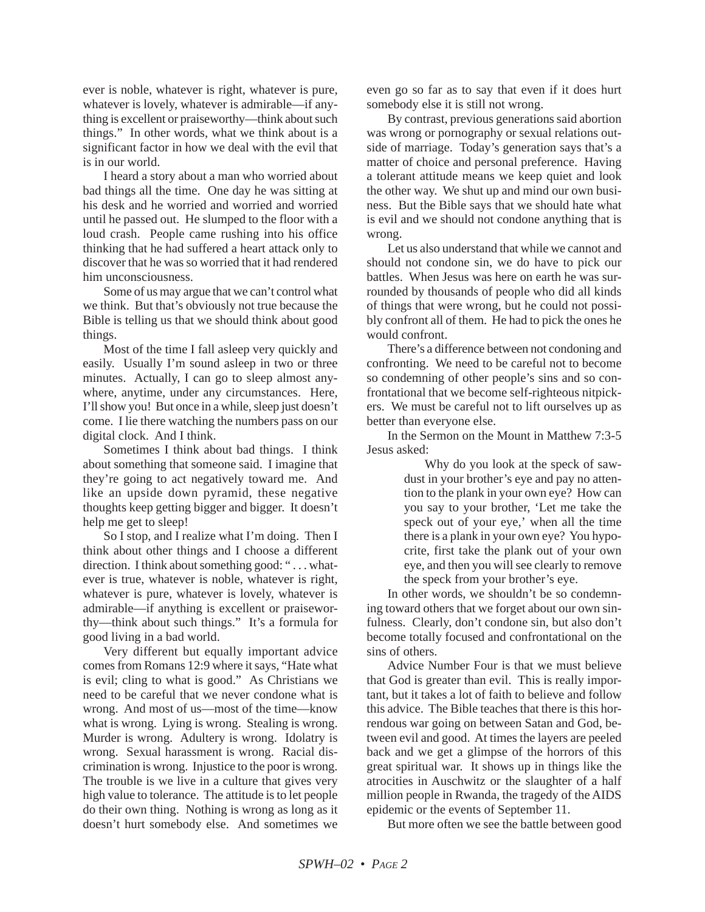ever is noble, whatever is right, whatever is pure, whatever is lovely, whatever is admirable—if anything is excellent or praiseworthy—think about such things." In other words, what we think about is a significant factor in how we deal with the evil that is in our world.

I heard a story about a man who worried about bad things all the time. One day he was sitting at his desk and he worried and worried and worried until he passed out. He slumped to the floor with a loud crash. People came rushing into his office thinking that he had suffered a heart attack only to discover that he was so worried that it had rendered him unconsciousness.

Some of us may argue that we can't control what we think. But that's obviously not true because the Bible is telling us that we should think about good things.

Most of the time I fall asleep very quickly and easily. Usually I'm sound asleep in two or three minutes. Actually, I can go to sleep almost anywhere, anytime, under any circumstances. Here, I'll show you! But once in a while, sleep just doesn't come. I lie there watching the numbers pass on our digital clock. And I think.

Sometimes I think about bad things. I think about something that someone said. I imagine that they're going to act negatively toward me. And like an upside down pyramid, these negative thoughts keep getting bigger and bigger. It doesn't help me get to sleep!

So I stop, and I realize what I'm doing. Then I think about other things and I choose a different direction. I think about something good: "... whatever is true, whatever is noble, whatever is right, whatever is pure, whatever is lovely, whatever is admirable—if anything is excellent or praiseworthy—think about such things." It's a formula for good living in a bad world.

Very different but equally important advice comes from Romans 12:9 where it says, "Hate what is evil; cling to what is good." As Christians we need to be careful that we never condone what is wrong. And most of us—most of the time—know what is wrong. Lying is wrong. Stealing is wrong. Murder is wrong. Adultery is wrong. Idolatry is wrong. Sexual harassment is wrong. Racial discrimination is wrong. Injustice to the poor is wrong. The trouble is we live in a culture that gives very high value to tolerance. The attitude is to let people do their own thing. Nothing is wrong as long as it doesn't hurt somebody else. And sometimes we

even go so far as to say that even if it does hurt somebody else it is still not wrong.

By contrast, previous generations said abortion was wrong or pornography or sexual relations outside of marriage. Today's generation says that's a matter of choice and personal preference. Having a tolerant attitude means we keep quiet and look the other way. We shut up and mind our own business. But the Bible says that we should hate what is evil and we should not condone anything that is wrong.

Let us also understand that while we cannot and should not condone sin, we do have to pick our battles. When Jesus was here on earth he was surrounded by thousands of people who did all kinds of things that were wrong, but he could not possibly confront all of them. He had to pick the ones he would confront.

There's a difference between not condoning and confronting. We need to be careful not to become so condemning of other people's sins and so confrontational that we become self-righteous nitpickers. We must be careful not to lift ourselves up as better than everyone else.

In the Sermon on the Mount in Matthew 7:3-5 Jesus asked:

> Why do you look at the speck of sawdust in your brother's eye and pay no attention to the plank in your own eye? How can you say to your brother, 'Let me take the speck out of your eye,' when all the time there is a plank in your own eye? You hypocrite, first take the plank out of your own eye, and then you will see clearly to remove the speck from your brother's eye.

In other words, we shouldn't be so condemning toward others that we forget about our own sinfulness. Clearly, don't condone sin, but also don't become totally focused and confrontational on the sins of others.

Advice Number Four is that we must believe that God is greater than evil. This is really important, but it takes a lot of faith to believe and follow this advice. The Bible teaches that there is this horrendous war going on between Satan and God, between evil and good. At times the layers are peeled back and we get a glimpse of the horrors of this great spiritual war. It shows up in things like the atrocities in Auschwitz or the slaughter of a half million people in Rwanda, the tragedy of the AIDS epidemic or the events of September 11.

But more often we see the battle between good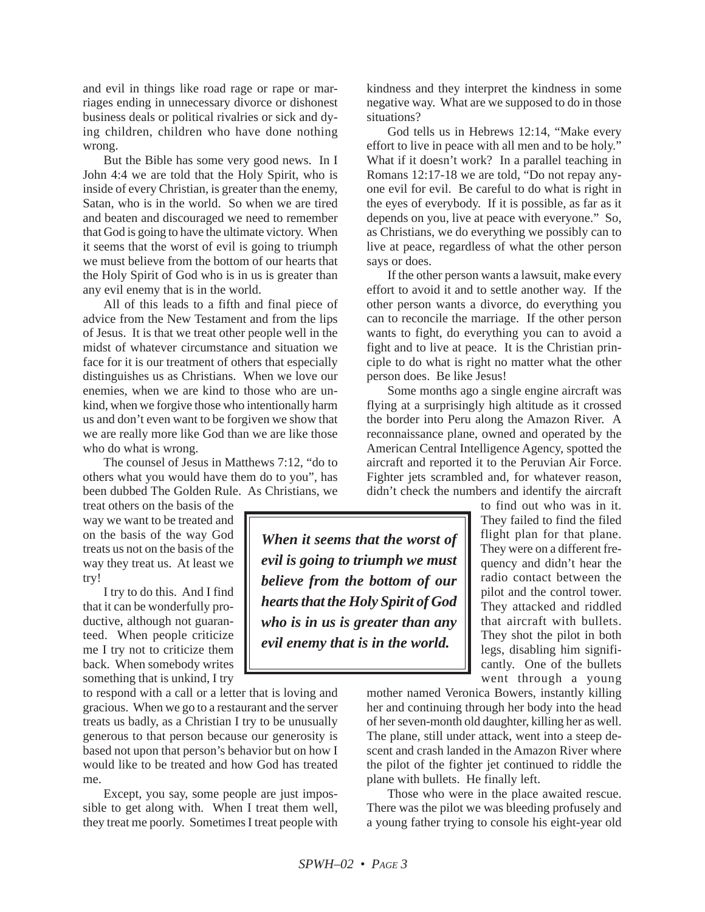and evil in things like road rage or rape or marriages ending in unnecessary divorce or dishonest business deals or political rivalries or sick and dying children, children who have done nothing wrong.

But the Bible has some very good news. In I John 4:4 we are told that the Holy Spirit, who is inside of every Christian, is greater than the enemy, Satan, who is in the world. So when we are tired and beaten and discouraged we need to remember that God is going to have the ultimate victory. When it seems that the worst of evil is going to triumph we must believe from the bottom of our hearts that the Holy Spirit of God who is in us is greater than any evil enemy that is in the world.

All of this leads to a fifth and final piece of advice from the New Testament and from the lips of Jesus. It is that we treat other people well in the midst of whatever circumstance and situation we face for it is our treatment of others that especially distinguishes us as Christians. When we love our enemies, when we are kind to those who are unkind, when we forgive those who intentionally harm us and don't even want to be forgiven we show that we are really more like God than we are like those who do what is wrong.

The counsel of Jesus in Matthews 7:12, "do to others what you would have them do to you", has been dubbed The Golden Rule. As Christians, we

treat others on the basis of the way we want to be treated and on the basis of the way God treats us not on the basis of the way they treat us. At least we try!

I try to do this. And I find that it can be wonderfully productive, although not guaranteed. When people criticize me I try not to criticize them back. When somebody writes something that is unkind, I try

to respond with a call or a letter that is loving and gracious. When we go to a restaurant and the server treats us badly, as a Christian I try to be unusually generous to that person because our generosity is based not upon that person's behavior but on how I would like to be treated and how God has treated me.

Except, you say, some people are just impossible to get along with. When I treat them well, they treat me poorly. Sometimes I treat people with kindness and they interpret the kindness in some negative way. What are we supposed to do in those situations?

God tells us in Hebrews 12:14, "Make every effort to live in peace with all men and to be holy." What if it doesn't work? In a parallel teaching in Romans 12:17-18 we are told, "Do not repay anyone evil for evil. Be careful to do what is right in the eyes of everybody. If it is possible, as far as it depends on you, live at peace with everyone." So, as Christians, we do everything we possibly can to live at peace, regardless of what the other person says or does.

If the other person wants a lawsuit, make every effort to avoid it and to settle another way. If the other person wants a divorce, do everything you can to reconcile the marriage. If the other person wants to fight, do everything you can to avoid a fight and to live at peace. It is the Christian principle to do what is right no matter what the other person does. Be like Jesus!

Some months ago a single engine aircraft was flying at a surprisingly high altitude as it crossed the border into Peru along the Amazon River. A reconnaissance plane, owned and operated by the American Central Intelligence Agency, spotted the aircraft and reported it to the Peruvian Air Force. Fighter jets scrambled and, for whatever reason, didn't check the numbers and identify the aircraft

*When it seems that the worst of evil is going to triumph we must believe from the bottom of our hearts that the Holy Spirit of God who is in us is greater than any evil enemy that is in the world.*

to find out who was in it. They failed to find the filed flight plan for that plane. They were on a different frequency and didn't hear the radio contact between the pilot and the control tower. They attacked and riddled that aircraft with bullets. They shot the pilot in both legs, disabling him significantly. One of the bullets went through a young

mother named Veronica Bowers, instantly killing her and continuing through her body into the head of her seven-month old daughter, killing her as well. The plane, still under attack, went into a steep descent and crash landed in the Amazon River where the pilot of the fighter jet continued to riddle the plane with bullets. He finally left.

Those who were in the place awaited rescue. There was the pilot we was bleeding profusely and a young father trying to console his eight-year old